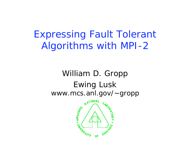Expressing Fault Tolerant Algorithms with MPI-2

#### William D. Gropp Ewing Lusk www.mcs.anl.gov/~gropp

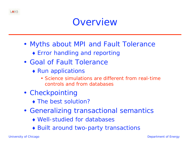

- Myths about MPI and Fault Tolerance
	- Error handling and reporting
- Goal of Fault Tolerance
	- $\triangleleft$  Run applications
		- Science simulations are different from real-time controls and from databases
- Checkpointing
	- The best solution?
- Generalizing transactional semantics
	- Well-studied for databases
	- Built around two-party transactions

ANS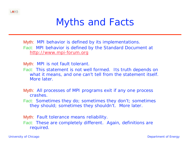

## Myths and Facts

Myth: MPI behavior is defined by its implementations. Fact: MPI behavior is defined by the Standard Document at http://www.mpi-forum.org

Myth: MPI is not fault tolerant.

- Fact: This statement is not well formed. Its truth depends on what it means, and one can't tell from the statement itself. More later.
- Myth: All processes of MPI programs exit if any one process crashes.
- Fact: Sometimes they do; sometimes they don't; sometimes they should; sometimes they shouldn't. More later.

Myth: Fault tolerance means reliability. Fact: These are completely different. Again, definitions are required.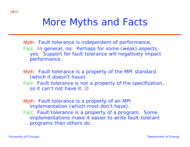

## More Myths and Facts

- Myth: Fault tolerance is independent of performance. Fact: In general, no. Perhaps for some (weak) aspects, yes. Support for fault tolerance will negatively impact performance.
- Myth: Fault tolerance is a property of the MPI standard (which it doesn't have).
- Fact: Fault tolerance is not a property of the specification, so it can't not have it.  $\odot$
- Myth: Fault tolerance is a property of an MPI implementation (which most don't have).
- Fact: Fault tolerance is a property of a program. Some implementations make it easier to write fault-tolerant programs than others do.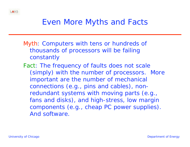

#### Even More Myths and Facts

- Myth: Computers with tens or hundreds of thousands of processors will be failing constantly
- Fact: The frequency of faults does not scale (simply) with the number of processors. More important are the number of mechanical connections (e.g., pins and cables), nonredundant systems with moving parts (e.g., fans and disks), and high-stress, low margin components (e.g., cheap PC power supplies). And software.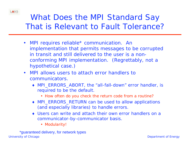

#### What Does the MPI Standard Say That is Relevant to Fault Tolerance?

- $\bullet$  MPI requires reliable\* communication. An implementation that permits messages to be corrupted in transit and still delivered to the user is a nonconforming MPI implementation. (Regrettably, not a hypothetical case.)
- $\bullet$  MPI allows users to attach error handlers to communicators.
	- MPI ERRORS ABORT, the "all-fall-down" error handler, is required to be the default.
		- How often do *you* check the return code from a routine?
	- MPI\_ERRORS\_RETURN can be used to allow applications (and especially libraries) to handle errors.
	- Users can write and attach their own error handlers on a communicator-by-communicator basis.
		- Modularity!

University of Chicago Department of Energy \*guaranteed delivery, for network types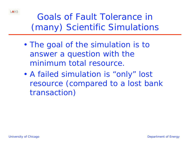

#### Goals of Fault Tolerance in (many) Scientific Simulations

- $\epsilon$  The goal of the simulation is to answer a question with the minimum *total* resource.
- • A failed simulation is "only" lost resource (compared to a lost bank transaction)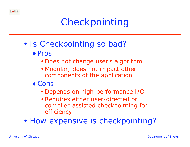## Checkpointing

- • Is Checkpointing so bad?
	- ◆ Pros:
		- Does not change user's algorithm
		- Modular; does not impact other components of the application
	- ◆ Cons:
		- Depends on high-performance I/O
		- Requires either user-directed or compiler-assisted checkpointing for efficiency
- $\epsilon$ How expensive is checkpointing?

LANS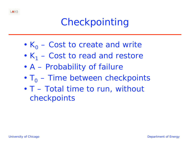

- $\epsilon$  $K_0$  – Cost to create and write
- $\left($  $K_1$  – Cost to read and restore
- $\left($ A – Probability of failure
- $\epsilon$  $T<sub>o</sub>$  – Time between checkpoints
- $\left($  T – Total time to run, without checkpoints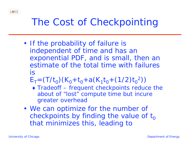

## The Cost of Checkpointing

- If the probability of failure is independent of time and has an exponential PDF, and is small, then an estimate of the total time with failures is
	- $E_T=(T/t_0)(K_0+t_0+a(K_1t_0+(1/2)t_0^2))$
	- Tradeoff frequent checkpoints reduce the about of "lost" compute time but incure greater overhead
- We can optimize for the number of checkpoints by finding the value of  $t_0$ that minimizes this, leading to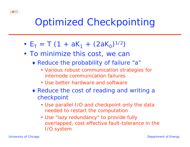

## Optimized Checkpointing

- • $E_T = T (1 + aK_1 + (2aK_0)^{1/2})$
- To minimize this cost, we can
	- Reduce the probability of failure "a"
		- Various robust communication strategies for internode communication failures
		- Use better hardware and software
	- Reduce the cost of reading and writing a checkpoint
		- Use parallel I/O and checkpoint only the data needed to restart the computation
		- Use "lazy redundancy" to provide fully overlapped, cost effective fault-tolerance in the I/O system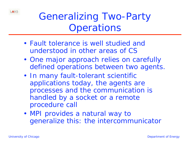Generalizing Two-Party **Operations** 

- Fault tolerance is well studied and understood in other areas of CS
- One major approach relies on carefully defined operations between two agents.
- In many fault-tolerant scientific applications today, the agents are processes and the communication is handled by a *socket* or a *remote procedure call*
- MPI provides a natural way to generalize this: the *intercommunicator*

LANS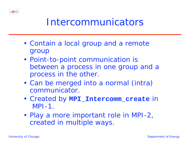

### Intercommunicators

- Contain a *local* group and a *remote* group
- Point-to-point communication is between a process in one group and a process in the other.
- • Can be merged into a normal (intra) communicator.
- Created by **MPI\_Intercomm\_create** in MPI-1.
- Play a more important role in MPI-2, created in multiple ways.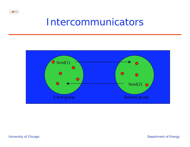#### Intercommunicators



LANS

University of Chicago **Department of Energy**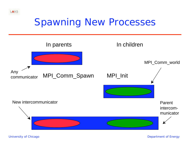### Spawning New Processes



LANS

University of Chicago **Department of Energy**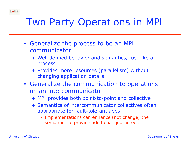

## Two Party Operations in MPI

- Generalize the *process* to be an MPI communicator
	- Well defined behavior and semantics, just like a process.
	- Provides more resources (parallelism) without changing application details
- Generalize the communication to operations on an intercommunicator
	- MPI provides both point-to-point and collective
	- Semantics of intercommunicator collectives often appropriate for fault-tolerant apps
		- Implementations can enhance (not change) the semantics to provide additional guarantees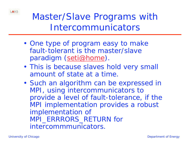

### Master/Slave Programs with Intercommunicators

- One type of program easy to make fault-tolerant is the master/slave paradigm (seti@home).
- This is because slaves hold very small amount of state at a time.
- Such an algorithm can be expressed in MPI, using intercommunicators to provide a level of fault-tolerance, if the MPI implementation provides a robust implementation of MPI\_ERRRORS\_RETURN for intercommmunicators.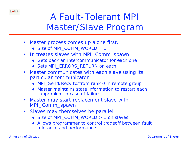

#### A Fault-Tolerant MPI Master/Slave Program

- $\bullet$  Master process comes up alone first.
	- ◆ Size of MPI\_COMM\_WORLD = 1
- $\bullet$  It creates slaves with MPI\_Comm\_spawn
	- ◆ Gets back an intercommunicator for each one
	- ◆ Sets MPI\_ERRORS\_RETURN on each
- $\bullet$  Master communicates with each slave using its particular communicator
	- ◆ MPI\_Send/Recv to/from rank 0 in remote group
	- Master maintains state information to restart each subproblem in case of failure
- • Master may start replacement slave with MPI\_Comm\_spawn
- • Slaves may themselves be parallel
	- ◆ Size of MPI\_COMM\_WORLD > 1 on slaves
	- Allows programmer to control tradeoff between fault tolerance and performance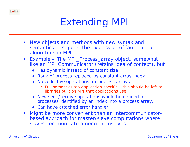

## Extending MPI

- $\bullet$  New objects and methods with new syntax and semantics to support the expression of fault-tolerant algorithms in MPI
- $\bullet$  Example – The MPI\_Process\_array object, somewhat like an MPI Communicator (retains idea of context), but
	- ◆ Has dynamic instead of constant size
	- ◆ Rank of process replaced by constant array index
	- No collective operations for process arrays
		- Full semantics too application specific this should be left to libraries built on MPI that applications use
	- New send/receive operations would be defined for processes identified by an index into a process array.
	- Can have attached error handler
- $\bullet$  Might be more convenient than an intercommunicatorbased approach for master/slave computations where slaves communicate among themselves.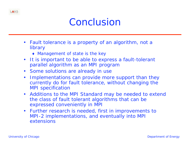

#### Conclusion

- Fault tolerance is a property of an algorithm, not a library
	- Management of state is the key
- •It is important to be able to express a fault-tolerant parallel algorithm as an MPI program
- Some solutions are already in use
- $\bullet$  Implementations can provide more support than they currently do for fault tolerance, without changing the MPI specification
- Additions to the MPI Standard may be needed to extend the class of fault tolerant algorithms that can be expressed conveniently in MPI
- Further research is needed, first in improvements to MPI-2 implementations, and eventually into MPI extensions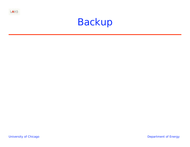

## Backup

University of Chicago **Department of Energy**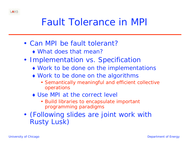

## Fault Tolerance in MPI

- Can MPI be fault tolerant?
	- What does that mean?
- Implementation vs. Specification
	- Work to be done on the implementations
	- Work to be done on the algorithms
		- Semantically meaningful and efficient collective operations
	- Use MPI at the correct level
		- Build libraries to encapsulate important programming paradigms
- • (Following slides are joint work with Rusty Lusk)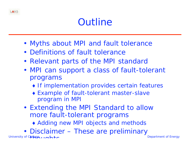## **Outline**

- Myths about MPI and fault tolerance
- Definitions of fault tolerance
- Relevant parts of the MPI standard
- MPI can support a class of fault-tolerant programs
	- If implementation provides certain features
	- Example of fault-tolerant master-slave program in MPI
- Extending the MPI Standard to allow more fault-tolerant programs
	- Adding new MPI objects and methods
- University of Chicago Department of Energy and the Department of Energy Department of Energy • Disclaimer – These are preliminary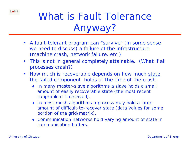

# What is Fault Tolerance Anyway?

- • A fault-tolerant program can "survive" (in some sense we need to discuss) a failure of the infrastructure (machine crash, network failure, etc.)
- $\bullet$  This is not in general completely attainable. (What if *all* processes crash?)
- $\bullet$  How much is recoverable depends on how much *state* the failed component holds at the time of the crash.
	- In many master-slave algorithms a slave holds a small amount of easily recoverable state (the most recent subproblem it received).
	- In most mesh algorithms a process may hold a large amount of difficult-to-recover state (data values for some portion of the grid/matrix).
	- Communication networks hold varying amount of state in communication buffers.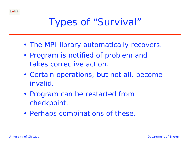

## Types of "Survival"

- The MPI library automatically recovers.
- Program is notified of problem and takes corrective action.
- Certain operations, but not all, become invalid.
- Program can be restarted from checkpoint.
- Perhaps combinations of these.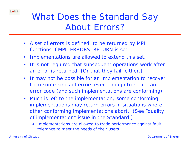

#### What Does the Standard Say About Errors?

- A set of errors is defined, to be returned by MPI functions if MPI\_ERRORS\_RETURN is set.
- •Implementations are allowed to extend this set.
- • It is not required that subsequent operations work after an error is returned. (Or that they fail, either.)
- $\bullet$  It may not be possible for an implementation to recover from some kinds of errors even enough to return an error code (and such implementations are conforming).
- $\bullet$  Much is left to the implementation; some conforming implementations may return errors in situations where other conforming implementations abort. (See "quality of implementation" issue in the Standard.)
	- Implementations are allowed to trade performance against fault tolerance to meet the needs of their users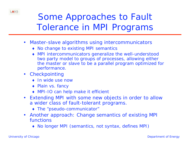

### Some Approaches to Fault Tolerance in MPI Programs

- • Master-slave algorithms using intercommunicators
	- ◆ No change to existing MPI semantics
	- MPI intercommunicators generalize the well-understood two party model to groups of processes, allowing either the master or slave to be a parallel program optimized for performance.
- $\bullet$ **Checkpointing** 
	- In wide use now
	- Plain vs. fancy
	- ◆ MPI-IO can help make it efficient
- $\bullet$  Extending MPI with some new objects in order to allow a wider class of fault-tolerant programs.
	- The "pseudo-communicator"
- Another approach: Change semantics of existing MPI functions
	- No longer MPI (semantics, not syntax, defines MPI)